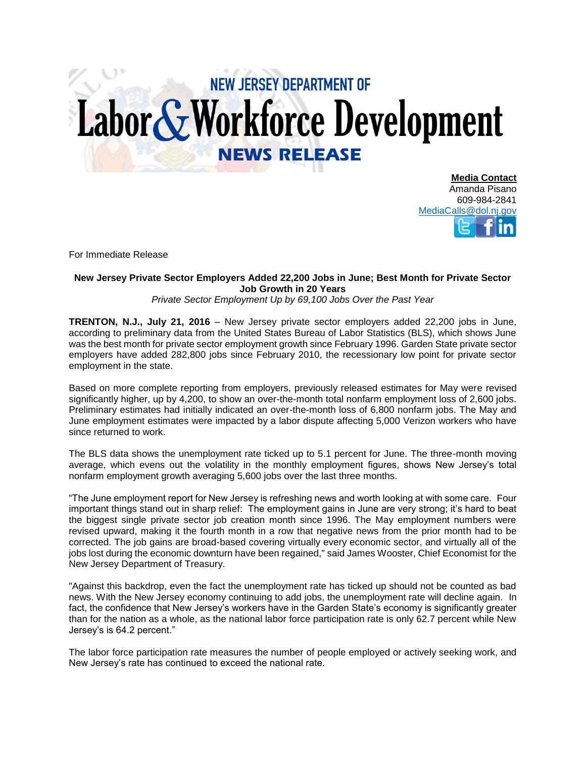## **NEW JERSEY DEPARTMENT OF** Labor & Workforce Development **NEWS RELEASE**

**Media Contact** Amanda Pisano 609-984-2841 [MediaCalls@dol.nj.gov](mailto:MediaCalls@dol.nj.gov)

For Immediate Release

## **New Jersey Private Sector Employers Added 22,200 Jobs in June; Best Month for Private Sector Job Growth in 20 Years**

## *Private Sector Employment Up by 69,100 Jobs Over the Past Year*

**TRENTON, N.J., July 21, 2016** – New Jersey private sector employers added 22,200 jobs in June, according to preliminary data from the United States Bureau of Labor Statistics (BLS), which shows June was the best month for private sector employment growth since February 1996. Garden State private sector employers have added 282,800 jobs since February 2010, the recessionary low point for private sector employment in the state.

Based on more complete reporting from employers, previously released estimates for May were revised significantly higher, up by 4,200, to show an over-the-month total nonfarm employment loss of 2,600 jobs. Preliminary estimates had initially indicated an over-the-month loss of 6,800 nonfarm jobs. The May and June employment estimates were impacted by a labor dispute affecting 5,000 Verizon workers who have since returned to work.

The BLS data shows the unemployment rate ticked up to 5.1 percent for June. The three-month moving average, which evens out the volatility in the monthly employment figures, shows New Jersey's total nonfarm employment growth averaging 5,600 jobs over the last three months.

"The June employment report for New Jersey is refreshing news and worth looking at with some care. Four important things stand out in sharp relief: The employment gains in June are very strong; it's hard to beat the biggest single private sector job creation month since 1996. The May employment numbers were revised upward, making it the fourth month in a row that negative news from the prior month had to be corrected. The job gains are broad-based covering virtually every economic sector, and virtually all of the jobs lost during the economic downturn have been regained," said James Wooster, Chief Economist for the New Jersey Department of Treasury.

"Against this backdrop, even the fact the unemployment rate has ticked up should not be counted as bad news. With the New Jersey economy continuing to add jobs, the unemployment rate will decline again. In fact, the confidence that New Jersey's workers have in the Garden State's economy is significantly greater than for the nation as a whole, as the national labor force participation rate is only 62.7 percent while New Jersey's is 64.2 percent."

The labor force participation rate measures the number of people employed or actively seeking work, and New Jersey's rate has continued to exceed the national rate.